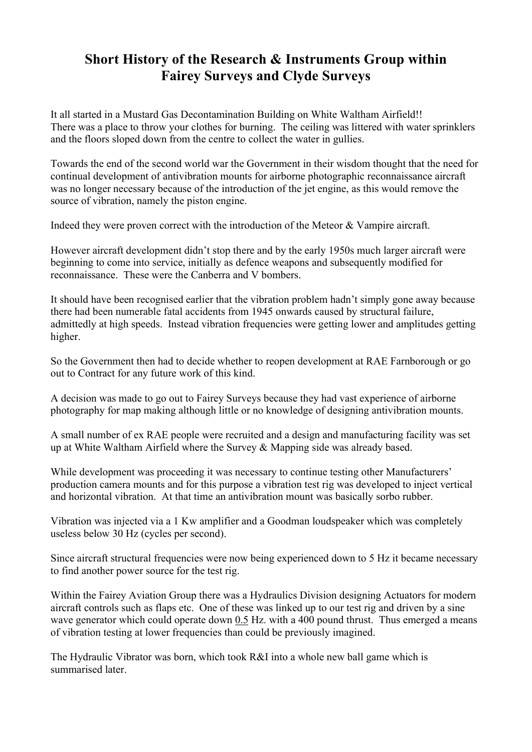# Short History of the Research & Instruments Group within Fairey Surveys and Clyde Surveys

It all started in a Mustard Gas Decontamination Building on White Waltham Airfield!! There was a place to throw your clothes for burning. The ceiling was littered with water sprinklers and the floors sloped down from the centre to collect the water in gullies.

Towards the end of the second world war the Government in their wisdom thought that the need for continual development of antivibration mounts for airborne photographic reconnaissance aircraft was no longer necessary because of the introduction of the jet engine, as this would remove the source of vibration, namely the piston engine.

Indeed they were proven correct with the introduction of the Meteor & Vampire aircraft.

However aircraft development didn't stop there and by the early 1950s much larger aircraft were beginning to come into service, initially as defence weapons and subsequently modified for reconnaissance. These were the Canberra and V bombers.

It should have been recognised earlier that the vibration problem hadn't simply gone away because there had been numerable fatal accidents from 1945 onwards caused by structural failure, admittedly at high speeds. Instead vibration frequencies were getting lower and amplitudes getting higher.

So the Government then had to decide whether to reopen development at RAE Farnborough or go out to Contract for any future work of this kind.

A decision was made to go out to Fairey Surveys because they had vast experience of airborne photography for map making although little or no knowledge of designing antivibration mounts.

A small number of ex RAE people were recruited and a design and manufacturing facility was set up at White Waltham Airfield where the Survey & Mapping side was already based.

While development was proceeding it was necessary to continue testing other Manufacturers' production camera mounts and for this purpose a vibration test rig was developed to inject vertical and horizontal vibration. At that time an antivibration mount was basically sorbo rubber.

Vibration was injected via a 1 Kw amplifier and a Goodman loudspeaker which was completely useless below 30 Hz (cycles per second).

Since aircraft structural frequencies were now being experienced down to 5 Hz it became necessary to find another power source for the test rig.

Within the Fairey Aviation Group there was a Hydraulics Division designing Actuators for modern aircraft controls such as flaps etc. One of these was linked up to our test rig and driven by a sine wave generator which could operate down 0.5 Hz. with a 400 pound thrust. Thus emerged a means of vibration testing at lower frequencies than could be previously imagined.

The Hydraulic Vibrator was born, which took R&I into a whole new ball game which is summarised later.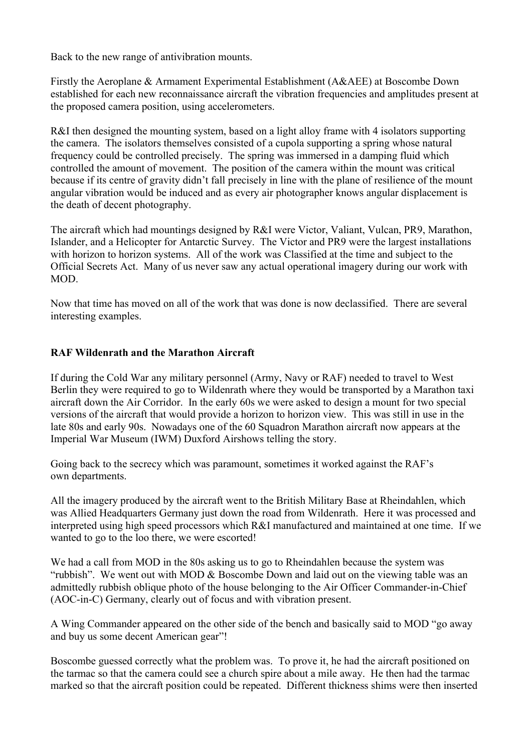Back to the new range of antivibration mounts.

Firstly the Aeroplane & Armament Experimental Establishment (A&AEE) at Boscombe Down established for each new reconnaissance aircraft the vibration frequencies and amplitudes present at the proposed camera position, using accelerometers.

R&I then designed the mounting system, based on a light alloy frame with 4 isolators supporting the camera. The isolators themselves consisted of a cupola supporting a spring whose natural frequency could be controlled precisely. The spring was immersed in a damping fluid which controlled the amount of movement. The position of the camera within the mount was critical because if its centre of gravity didn't fall precisely in line with the plane of resilience of the mount angular vibration would be induced and as every air photographer knows angular displacement is the death of decent photography.

The aircraft which had mountings designed by R&I were Victor, Valiant, Vulcan, PR9, Marathon, Islander, and a Helicopter for Antarctic Survey. The Victor and PR9 were the largest installations with horizon to horizon systems. All of the work was Classified at the time and subject to the Official Secrets Act. Many of us never saw any actual operational imagery during our work with MOD.

Now that time has moved on all of the work that was done is now declassified. There are several interesting examples.

## RAF Wildenrath and the Marathon Aircraft

If during the Cold War any military personnel (Army, Navy or RAF) needed to travel to West Berlin they were required to go to Wildenrath where they would be transported by a Marathon taxi aircraft down the Air Corridor. In the early 60s we were asked to design a mount for two special versions of the aircraft that would provide a horizon to horizon view. This was still in use in the late 80s and early 90s. Nowadays one of the 60 Squadron Marathon aircraft now appears at the Imperial War Museum (IWM) Duxford Airshows telling the story.

Going back to the secrecy which was paramount, sometimes it worked against the RAF's own departments.

All the imagery produced by the aircraft went to the British Military Base at Rheindahlen, which was Allied Headquarters Germany just down the road from Wildenrath. Here it was processed and interpreted using high speed processors which R&I manufactured and maintained at one time. If we wanted to go to the loo there, we were escorted!

We had a call from MOD in the 80s asking us to go to Rheindahlen because the system was "rubbish". We went out with MOD & Boscombe Down and laid out on the viewing table was an admittedly rubbish oblique photo of the house belonging to the Air Officer Commander-in-Chief (AOC-in-C) Germany, clearly out of focus and with vibration present.

A Wing Commander appeared on the other side of the bench and basically said to MOD "go away and buy us some decent American gear"!

Boscombe guessed correctly what the problem was. To prove it, he had the aircraft positioned on the tarmac so that the camera could see a church spire about a mile away. He then had the tarmac marked so that the aircraft position could be repeated. Different thickness shims were then inserted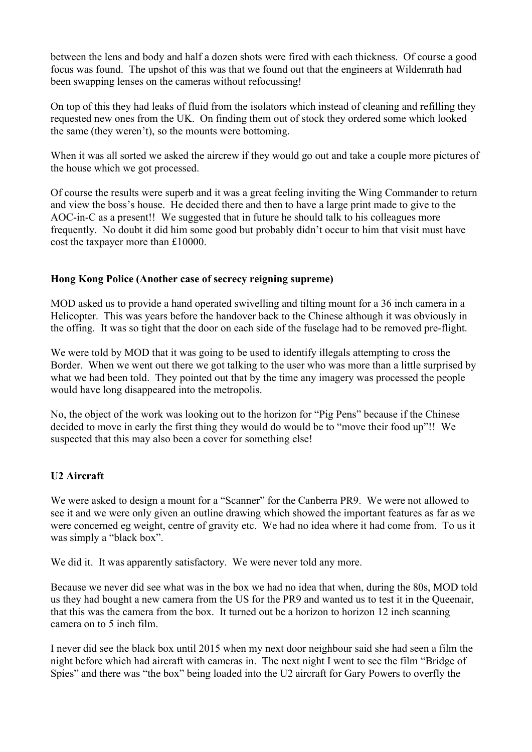between the lens and body and half a dozen shots were fired with each thickness. Of course a good focus was found. The upshot of this was that we found out that the engineers at Wildenrath had been swapping lenses on the cameras without refocussing!

On top of this they had leaks of fluid from the isolators which instead of cleaning and refilling they requested new ones from the UK. On finding them out of stock they ordered some which looked the same (they weren't), so the mounts were bottoming.

When it was all sorted we asked the aircrew if they would go out and take a couple more pictures of the house which we got processed.

Of course the results were superb and it was a great feeling inviting the Wing Commander to return and view the boss's house. He decided there and then to have a large print made to give to the AOC-in-C as a present!! We suggested that in future he should talk to his colleagues more frequently. No doubt it did him some good but probably didn't occur to him that visit must have cost the taxpayer more than £10000.

### Hong Kong Police (Another case of secrecy reigning supreme)

MOD asked us to provide a hand operated swivelling and tilting mount for a 36 inch camera in a Helicopter. This was years before the handover back to the Chinese although it was obviously in the offing. It was so tight that the door on each side of the fuselage had to be removed pre-flight.

We were told by MOD that it was going to be used to identify illegals attempting to cross the Border. When we went out there we got talking to the user who was more than a little surprised by what we had been told. They pointed out that by the time any imagery was processed the people would have long disappeared into the metropolis.

No, the object of the work was looking out to the horizon for "Pig Pens" because if the Chinese decided to move in early the first thing they would do would be to "move their food up"!! We suspected that this may also been a cover for something else!

### U2 Aircraft

We were asked to design a mount for a "Scanner" for the Canberra PR9. We were not allowed to see it and we were only given an outline drawing which showed the important features as far as we were concerned eg weight, centre of gravity etc. We had no idea where it had come from. To us it was simply a "black box".

We did it. It was apparently satisfactory. We were never told any more.

Because we never did see what was in the box we had no idea that when, during the 80s, MOD told us they had bought a new camera from the US for the PR9 and wanted us to test it in the Queenair, that this was the camera from the box. It turned out be a horizon to horizon 12 inch scanning camera on to 5 inch film.

I never did see the black box until 2015 when my next door neighbour said she had seen a film the night before which had aircraft with cameras in. The next night I went to see the film "Bridge of Spies" and there was "the box" being loaded into the U2 aircraft for Gary Powers to overfly the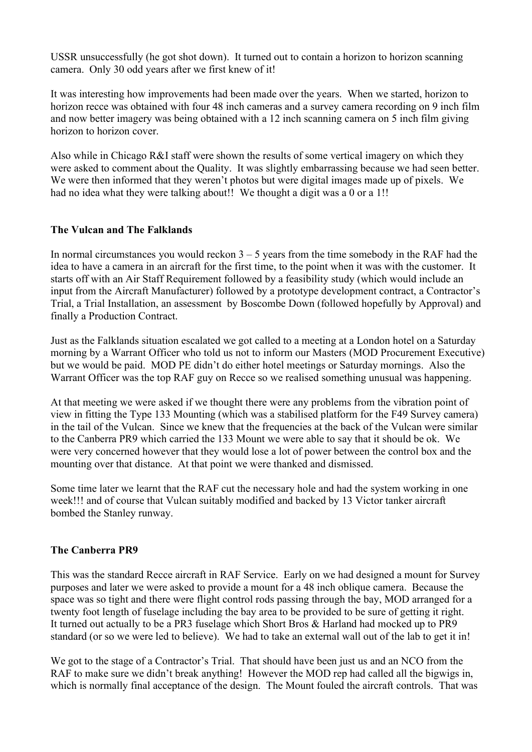USSR unsuccessfully (he got shot down). It turned out to contain a horizon to horizon scanning camera. Only 30 odd years after we first knew of it!

It was interesting how improvements had been made over the years. When we started, horizon to horizon recce was obtained with four 48 inch cameras and a survey camera recording on 9 inch film and now better imagery was being obtained with a 12 inch scanning camera on 5 inch film giving horizon to horizon cover.

Also while in Chicago R&I staff were shown the results of some vertical imagery on which they were asked to comment about the Quality. It was slightly embarrassing because we had seen better. We were then informed that they weren't photos but were digital images made up of pixels. We had no idea what they were talking about!! We thought a digit was a 0 or a 1!!

### The Vulcan and The Falklands

In normal circumstances you would reckon  $3 - 5$  years from the time somebody in the RAF had the idea to have a camera in an aircraft for the first time, to the point when it was with the customer. It starts off with an Air Staff Requirement followed by a feasibility study (which would include an input from the Aircraft Manufacturer) followed by a prototype development contract, a Contractor's Trial, a Trial Installation, an assessment by Boscombe Down (followed hopefully by Approval) and finally a Production Contract.

Just as the Falklands situation escalated we got called to a meeting at a London hotel on a Saturday morning by a Warrant Officer who told us not to inform our Masters (MOD Procurement Executive) but we would be paid. MOD PE didn't do either hotel meetings or Saturday mornings. Also the Warrant Officer was the top RAF guy on Recce so we realised something unusual was happening.

At that meeting we were asked if we thought there were any problems from the vibration point of view in fitting the Type 133 Mounting (which was a stabilised platform for the F49 Survey camera) in the tail of the Vulcan. Since we knew that the frequencies at the back of the Vulcan were similar to the Canberra PR9 which carried the 133 Mount we were able to say that it should be ok. We were very concerned however that they would lose a lot of power between the control box and the mounting over that distance. At that point we were thanked and dismissed.

Some time later we learnt that the RAF cut the necessary hole and had the system working in one week!!! and of course that Vulcan suitably modified and backed by 13 Victor tanker aircraft bombed the Stanley runway.

### The Canberra PR9

This was the standard Recce aircraft in RAF Service. Early on we had designed a mount for Survey purposes and later we were asked to provide a mount for a 48 inch oblique camera. Because the space was so tight and there were flight control rods passing through the bay, MOD arranged for a twenty foot length of fuselage including the bay area to be provided to be sure of getting it right. It turned out actually to be a PR3 fuselage which Short Bros & Harland had mocked up to PR9 standard (or so we were led to believe). We had to take an external wall out of the lab to get it in!

We got to the stage of a Contractor's Trial. That should have been just us and an NCO from the RAF to make sure we didn't break anything! However the MOD rep had called all the bigwigs in, which is normally final acceptance of the design. The Mount fouled the aircraft controls. That was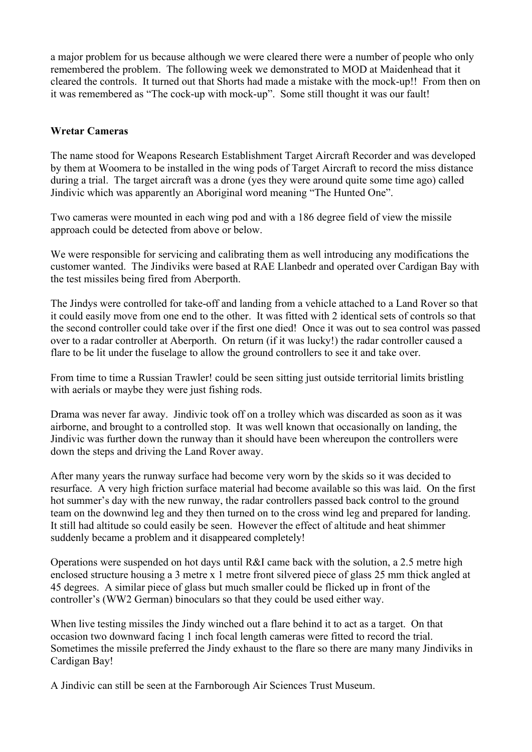a major problem for us because although we were cleared there were a number of people who only remembered the problem. The following week we demonstrated to MOD at Maidenhead that it cleared the controls. It turned out that Shorts had made a mistake with the mock-up!! From then on it was remembered as "The cock-up with mock-up". Some still thought it was our fault!

#### Wretar Cameras

The name stood for Weapons Research Establishment Target Aircraft Recorder and was developed by them at Woomera to be installed in the wing pods of Target Aircraft to record the miss distance during a trial. The target aircraft was a drone (yes they were around quite some time ago) called Jindivic which was apparently an Aboriginal word meaning "The Hunted One".

Two cameras were mounted in each wing pod and with a 186 degree field of view the missile approach could be detected from above or below.

We were responsible for servicing and calibrating them as well introducing any modifications the customer wanted. The Jindiviks were based at RAE Llanbedr and operated over Cardigan Bay with the test missiles being fired from Aberporth.

The Jindys were controlled for take-off and landing from a vehicle attached to a Land Rover so that it could easily move from one end to the other. It was fitted with 2 identical sets of controls so that the second controller could take over if the first one died! Once it was out to sea control was passed over to a radar controller at Aberporth. On return (if it was lucky!) the radar controller caused a flare to be lit under the fuselage to allow the ground controllers to see it and take over.

From time to time a Russian Trawler! could be seen sitting just outside territorial limits bristling with aerials or maybe they were just fishing rods.

Drama was never far away. Jindivic took off on a trolley which was discarded as soon as it was airborne, and brought to a controlled stop. It was well known that occasionally on landing, the Jindivic was further down the runway than it should have been whereupon the controllers were down the steps and driving the Land Rover away.

After many years the runway surface had become very worn by the skids so it was decided to resurface. A very high friction surface material had become available so this was laid. On the first hot summer's day with the new runway, the radar controllers passed back control to the ground team on the downwind leg and they then turned on to the cross wind leg and prepared for landing. It still had altitude so could easily be seen. However the effect of altitude and heat shimmer suddenly became a problem and it disappeared completely!

Operations were suspended on hot days until R&I came back with the solution, a 2.5 metre high enclosed structure housing a 3 metre x 1 metre front silvered piece of glass 25 mm thick angled at 45 degrees. A similar piece of glass but much smaller could be flicked up in front of the controller's (WW2 German) binoculars so that they could be used either way.

When live testing missiles the Jindy winched out a flare behind it to act as a target. On that occasion two downward facing 1 inch focal length cameras were fitted to record the trial. Sometimes the missile preferred the Jindy exhaust to the flare so there are many many Jindiviks in Cardigan Bay!

A Jindivic can still be seen at the Farnborough Air Sciences Trust Museum.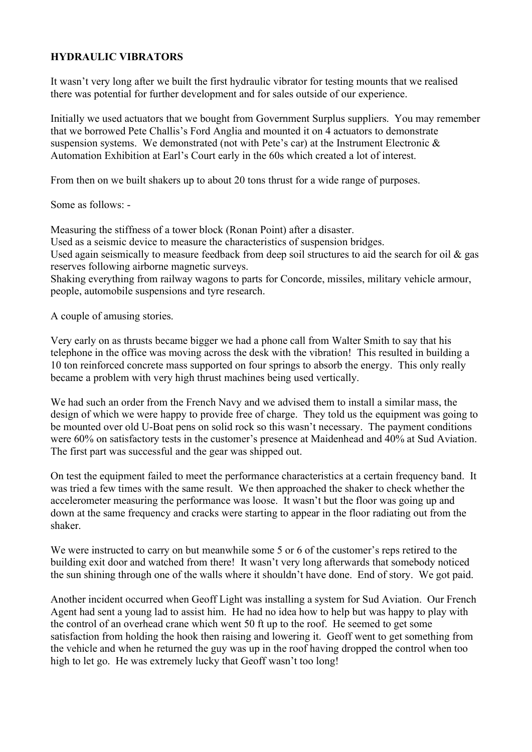## HYDRAULIC VIBRATORS

It wasn't very long after we built the first hydraulic vibrator for testing mounts that we realised there was potential for further development and for sales outside of our experience.

Initially we used actuators that we bought from Government Surplus suppliers. You may remember that we borrowed Pete Challis's Ford Anglia and mounted it on 4 actuators to demonstrate suspension systems. We demonstrated (not with Pete's car) at the Instrument Electronic & Automation Exhibition at Earl's Court early in the 60s which created a lot of interest.

From then on we built shakers up to about 20 tons thrust for a wide range of purposes.

Some as follows: -

Measuring the stiffness of a tower block (Ronan Point) after a disaster.

Used as a seismic device to measure the characteristics of suspension bridges.

Used again seismically to measure feedback from deep soil structures to aid the search for oil & gas reserves following airborne magnetic surveys.

Shaking everything from railway wagons to parts for Concorde, missiles, military vehicle armour, people, automobile suspensions and tyre research.

A couple of amusing stories.

Very early on as thrusts became bigger we had a phone call from Walter Smith to say that his telephone in the office was moving across the desk with the vibration! This resulted in building a 10 ton reinforced concrete mass supported on four springs to absorb the energy. This only really became a problem with very high thrust machines being used vertically.

We had such an order from the French Navy and we advised them to install a similar mass, the design of which we were happy to provide free of charge. They told us the equipment was going to be mounted over old U-Boat pens on solid rock so this wasn't necessary. The payment conditions were 60% on satisfactory tests in the customer's presence at Maidenhead and 40% at Sud Aviation. The first part was successful and the gear was shipped out.

On test the equipment failed to meet the performance characteristics at a certain frequency band. It was tried a few times with the same result. We then approached the shaker to check whether the accelerometer measuring the performance was loose. It wasn't but the floor was going up and down at the same frequency and cracks were starting to appear in the floor radiating out from the shaker.

We were instructed to carry on but meanwhile some 5 or 6 of the customer's reps retired to the building exit door and watched from there! It wasn't very long afterwards that somebody noticed the sun shining through one of the walls where it shouldn't have done. End of story. We got paid.

Another incident occurred when Geoff Light was installing a system for Sud Aviation. Our French Agent had sent a young lad to assist him. He had no idea how to help but was happy to play with the control of an overhead crane which went 50 ft up to the roof. He seemed to get some satisfaction from holding the hook then raising and lowering it. Geoff went to get something from the vehicle and when he returned the guy was up in the roof having dropped the control when too high to let go. He was extremely lucky that Geoff wasn't too long!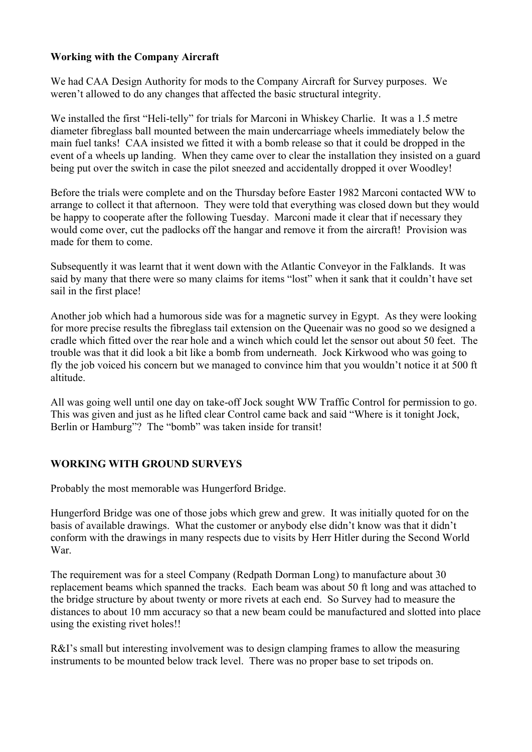## Working with the Company Aircraft

We had CAA Design Authority for mods to the Company Aircraft for Survey purposes. We weren't allowed to do any changes that affected the basic structural integrity.

We installed the first "Heli-telly" for trials for Marconi in Whiskey Charlie. It was a 1.5 metre diameter fibreglass ball mounted between the main undercarriage wheels immediately below the main fuel tanks! CAA insisted we fitted it with a bomb release so that it could be dropped in the event of a wheels up landing. When they came over to clear the installation they insisted on a guard being put over the switch in case the pilot sneezed and accidentally dropped it over Woodley!

Before the trials were complete and on the Thursday before Easter 1982 Marconi contacted WW to arrange to collect it that afternoon. They were told that everything was closed down but they would be happy to cooperate after the following Tuesday. Marconi made it clear that if necessary they would come over, cut the padlocks off the hangar and remove it from the aircraft! Provision was made for them to come.

Subsequently it was learnt that it went down with the Atlantic Conveyor in the Falklands. It was said by many that there were so many claims for items "lost" when it sank that it couldn't have set sail in the first place!

Another job which had a humorous side was for a magnetic survey in Egypt. As they were looking for more precise results the fibreglass tail extension on the Queenair was no good so we designed a cradle which fitted over the rear hole and a winch which could let the sensor out about 50 feet. The trouble was that it did look a bit like a bomb from underneath. Jock Kirkwood who was going to fly the job voiced his concern but we managed to convince him that you wouldn't notice it at 500 ft altitude.

All was going well until one day on take-off Jock sought WW Traffic Control for permission to go. This was given and just as he lifted clear Control came back and said "Where is it tonight Jock, Berlin or Hamburg"? The "bomb" was taken inside for transit!

### WORKING WITH GROUND SURVEYS

Probably the most memorable was Hungerford Bridge.

Hungerford Bridge was one of those jobs which grew and grew. It was initially quoted for on the basis of available drawings. What the customer or anybody else didn't know was that it didn't conform with the drawings in many respects due to visits by Herr Hitler during the Second World War.

The requirement was for a steel Company (Redpath Dorman Long) to manufacture about 30 replacement beams which spanned the tracks. Each beam was about 50 ft long and was attached to the bridge structure by about twenty or more rivets at each end. So Survey had to measure the distances to about 10 mm accuracy so that a new beam could be manufactured and slotted into place using the existing rivet holes!!

R&I's small but interesting involvement was to design clamping frames to allow the measuring instruments to be mounted below track level. There was no proper base to set tripods on.